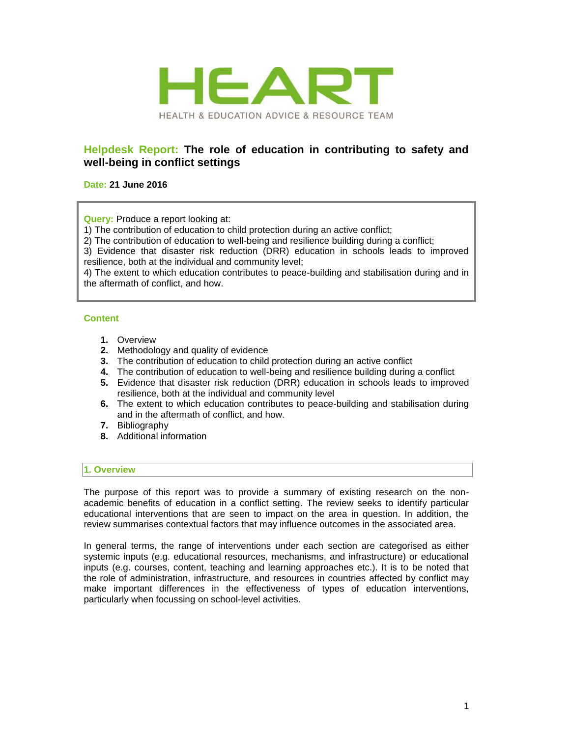

# **Helpdesk Report: The role of education in contributing to safety and well-being in conflict settings**

## **Date: 21 June 2016**

**Query:** Produce a report looking at:

1) The contribution of education to child protection during an active conflict;

2) The contribution of education to well-being and resilience building during a conflict;

3) Evidence that disaster risk reduction (DRR) education in schools leads to improved resilience, both at the individual and community level;

4) The extent to which education contributes to peace-building and stabilisation during and in the aftermath of conflict, and how.

## **Content**

- **1.** Overview
- **2.** Methodology and quality of evidence
- **3.** The contribution of education to child protection during an active conflict
- **4.** The contribution of education to well-being and resilience building during a conflict
- **5.** Evidence that disaster risk reduction (DRR) education in schools leads to improved resilience, both at the individual and community level
- **6.** The extent to which education contributes to peace-building and stabilisation during and in the aftermath of conflict, and how.
- **7.** Bibliography
- **8.** Additional information

## **1. Overview**

The purpose of this report was to provide a summary of existing research on the nonacademic benefits of education in a conflict setting. The review seeks to identify particular educational interventions that are seen to impact on the area in question. In addition, the review summarises contextual factors that may influence outcomes in the associated area.

In general terms, the range of interventions under each section are categorised as either systemic inputs (e.g. educational resources, mechanisms, and infrastructure) or educational inputs (e.g. courses, content, teaching and learning approaches etc.). It is to be noted that the role of administration, infrastructure, and resources in countries affected by conflict may make important differences in the effectiveness of types of education interventions, particularly when focussing on school-level activities.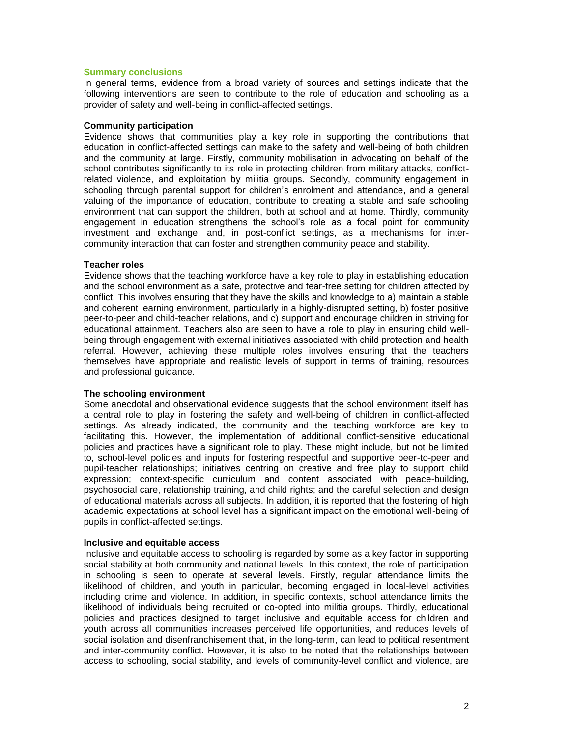## **Summary conclusions**

In general terms, evidence from a broad variety of sources and settings indicate that the following interventions are seen to contribute to the role of education and schooling as a provider of safety and well-being in conflict-affected settings.

#### **Community participation**

Evidence shows that communities play a key role in supporting the contributions that education in conflict-affected settings can make to the safety and well-being of both children and the community at large. Firstly, community mobilisation in advocating on behalf of the school contributes significantly to its role in protecting children from military attacks, conflictrelated violence, and exploitation by militia groups. Secondly, community engagement in schooling through parental support for children's enrolment and attendance, and a general valuing of the importance of education, contribute to creating a stable and safe schooling environment that can support the children, both at school and at home. Thirdly, community engagement in education strengthens the school's role as a focal point for community investment and exchange, and, in post-conflict settings, as a mechanisms for intercommunity interaction that can foster and strengthen community peace and stability.

#### **Teacher roles**

Evidence shows that the teaching workforce have a key role to play in establishing education and the school environment as a safe, protective and fear-free setting for children affected by conflict. This involves ensuring that they have the skills and knowledge to a) maintain a stable and coherent learning environment, particularly in a highly-disrupted setting, b) foster positive peer-to-peer and child-teacher relations, and c) support and encourage children in striving for educational attainment. Teachers also are seen to have a role to play in ensuring child wellbeing through engagement with external initiatives associated with child protection and health referral. However, achieving these multiple roles involves ensuring that the teachers themselves have appropriate and realistic levels of support in terms of training, resources and professional guidance.

## **The schooling environment**

Some anecdotal and observational evidence suggests that the school environment itself has a central role to play in fostering the safety and well-being of children in conflict-affected settings. As already indicated, the community and the teaching workforce are key to facilitating this. However, the implementation of additional conflict-sensitive educational policies and practices have a significant role to play. These might include, but not be limited to, school-level policies and inputs for fostering respectful and supportive peer-to-peer and pupil-teacher relationships; initiatives centring on creative and free play to support child expression; context-specific curriculum and content associated with peace-building, psychosocial care, relationship training, and child rights; and the careful selection and design of educational materials across all subjects. In addition, it is reported that the fostering of high academic expectations at school level has a significant impact on the emotional well-being of pupils in conflict-affected settings.

#### **Inclusive and equitable access**

Inclusive and equitable access to schooling is regarded by some as a key factor in supporting social stability at both community and national levels. In this context, the role of participation in schooling is seen to operate at several levels. Firstly, regular attendance limits the likelihood of children, and youth in particular, becoming engaged in local-level activities including crime and violence. In addition, in specific contexts, school attendance limits the likelihood of individuals being recruited or co-opted into militia groups. Thirdly, educational policies and practices designed to target inclusive and equitable access for children and youth across all communities increases perceived life opportunities, and reduces levels of social isolation and disenfranchisement that, in the long-term, can lead to political resentment and inter-community conflict. However, it is also to be noted that the relationships between access to schooling, social stability, and levels of community-level conflict and violence, are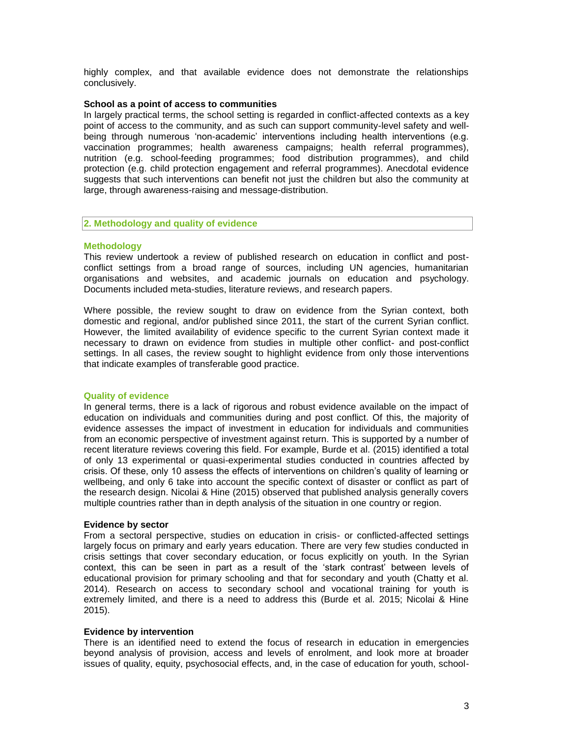highly complex, and that available evidence does not demonstrate the relationships conclusively.

#### **School as a point of access to communities**

In largely practical terms, the school setting is regarded in conflict-affected contexts as a key point of access to the community, and as such can support community-level safety and wellbeing through numerous 'non-academic' interventions including health interventions (e.g. vaccination programmes; health awareness campaigns; health referral programmes), nutrition (e.g. school-feeding programmes; food distribution programmes), and child protection (e.g. child protection engagement and referral programmes). Anecdotal evidence suggests that such interventions can benefit not just the children but also the community at large, through awareness-raising and message-distribution.

#### **2. Methodology and quality of evidence**

## **Methodology**

This review undertook a review of published research on education in conflict and postconflict settings from a broad range of sources, including UN agencies, humanitarian organisations and websites, and academic journals on education and psychology. Documents included meta-studies, literature reviews, and research papers.

Where possible, the review sought to draw on evidence from the Syrian context, both domestic and regional, and/or published since 2011, the start of the current Syrian conflict. However, the limited availability of evidence specific to the current Syrian context made it necessary to drawn on evidence from studies in multiple other conflict- and post-conflict settings. In all cases, the review sought to highlight evidence from only those interventions that indicate examples of transferable good practice.

#### **Quality of evidence**

In general terms, there is a lack of rigorous and robust evidence available on the impact of education on individuals and communities during and post conflict. Of this, the majority of evidence assesses the impact of investment in education for individuals and communities from an economic perspective of investment against return. This is supported by a number of recent literature reviews covering this field. For example, Burde et al. (2015) identified a total of only 13 experimental or quasi-experimental studies conducted in countries affected by crisis. Of these, only 10 assess the effects of interventions on children's quality of learning or wellbeing, and only 6 take into account the specific context of disaster or conflict as part of the research design. Nicolai & Hine (2015) observed that published analysis generally covers multiple countries rather than in depth analysis of the situation in one country or region.

#### **Evidence by sector**

From a sectoral perspective, studies on education in crisis- or conflicted-affected settings largely focus on primary and early years education. There are very few studies conducted in crisis settings that cover secondary education, or focus explicitly on youth. In the Syrian context, this can be seen in part as a result of the 'stark contrast' between levels of educational provision for primary schooling and that for secondary and youth (Chatty et al. 2014). Research on access to secondary school and vocational training for youth is extremely limited, and there is a need to address this (Burde et al. 2015; Nicolai & Hine 2015).

#### **Evidence by intervention**

There is an identified need to extend the focus of research in education in emergencies beyond analysis of provision, access and levels of enrolment, and look more at broader issues of quality, equity, psychosocial effects, and, in the case of education for youth, school-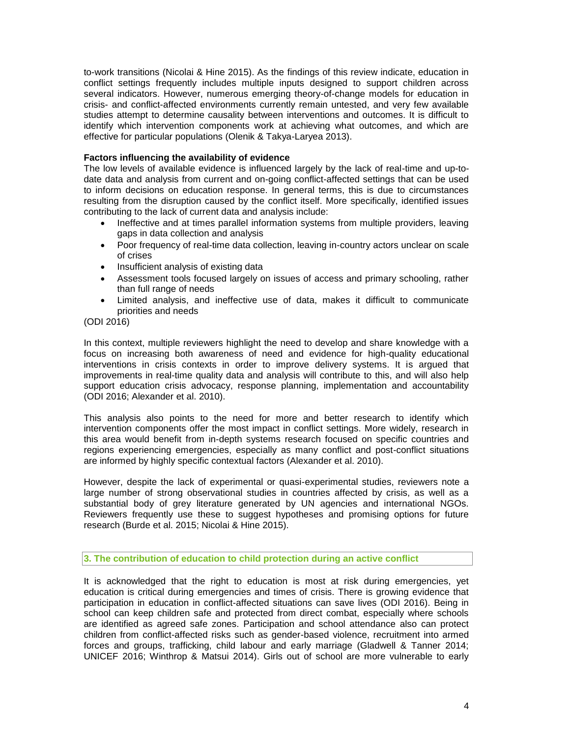to-work transitions (Nicolai & Hine 2015). As the findings of this review indicate, education in conflict settings frequently includes multiple inputs designed to support children across several indicators. However, numerous emerging theory-of-change models for education in crisis- and conflict-affected environments currently remain untested, and very few available studies attempt to determine causality between interventions and outcomes. It is difficult to identify which intervention components work at achieving what outcomes, and which are effective for particular populations (Olenik & Takya-Laryea 2013).

## **Factors influencing the availability of evidence**

The low levels of available evidence is influenced largely by the lack of real-time and up-todate data and analysis from current and on-going conflict-affected settings that can be used to inform decisions on education response. In general terms, this is due to circumstances resulting from the disruption caused by the conflict itself. More specifically, identified issues contributing to the lack of current data and analysis include:

- Ineffective and at times parallel information systems from multiple providers, leaving gaps in data collection and analysis
- Poor frequency of real-time data collection, leaving in-country actors unclear on scale of crises
- Insufficient analysis of existing data
- Assessment tools focused largely on issues of access and primary schooling, rather than full range of needs
- Limited analysis, and ineffective use of data, makes it difficult to communicate priorities and needs

(ODI 2016)

In this context, multiple reviewers highlight the need to develop and share knowledge with a focus on increasing both awareness of need and evidence for high-quality educational interventions in crisis contexts in order to improve delivery systems. It is argued that improvements in real-time quality data and analysis will contribute to this, and will also help support education crisis advocacy, response planning, implementation and accountability (ODI 2016; Alexander et al. 2010).

This analysis also points to the need for more and better research to identify which intervention components offer the most impact in conflict settings. More widely, research in this area would benefit from in-depth systems research focused on specific countries and regions experiencing emergencies, especially as many conflict and post-conflict situations are informed by highly specific contextual factors (Alexander et al. 2010).

However, despite the lack of experimental or quasi-experimental studies, reviewers note a large number of strong observational studies in countries affected by crisis, as well as a substantial body of grey literature generated by UN agencies and international NGOs. Reviewers frequently use these to suggest hypotheses and promising options for future research (Burde et al. 2015; Nicolai & Hine 2015).

**3. The contribution of education to child protection during an active conflict**

It is acknowledged that the right to education is most at risk during emergencies, yet education is critical during emergencies and times of crisis. There is growing evidence that participation in education in conflict-affected situations can save lives (ODI 2016). Being in school can keep children safe and protected from direct combat, especially where schools are identified as agreed safe zones. Participation and school attendance also can protect children from conflict-affected risks such as gender-based violence, recruitment into armed forces and groups, trafficking, child labour and early marriage (Gladwell & Tanner 2014; UNICEF 2016; Winthrop & Matsui 2014). Girls out of school are more vulnerable to early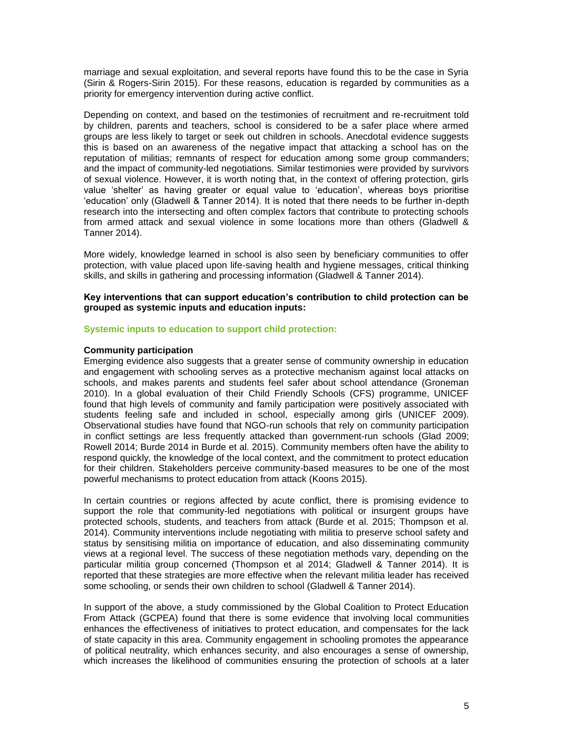marriage and sexual exploitation, and several reports have found this to be the case in Syria (Sirin & Rogers-Sirin 2015). For these reasons, education is regarded by communities as a priority for emergency intervention during active conflict.

Depending on context, and based on the testimonies of recruitment and re-recruitment told by children, parents and teachers, school is considered to be a safer place where armed groups are less likely to target or seek out children in schools. Anecdotal evidence suggests this is based on an awareness of the negative impact that attacking a school has on the reputation of militias; remnants of respect for education among some group commanders; and the impact of community-led negotiations. Similar testimonies were provided by survivors of sexual violence. However, it is worth noting that, in the context of offering protection, girls value 'shelter' as having greater or equal value to 'education', whereas boys prioritise 'education' only (Gladwell & Tanner 2014). It is noted that there needs to be further in-depth research into the intersecting and often complex factors that contribute to protecting schools from armed attack and sexual violence in some locations more than others (Gladwell & Tanner 2014).

More widely, knowledge learned in school is also seen by beneficiary communities to offer protection, with value placed upon life-saving health and hygiene messages, critical thinking skills, and skills in gathering and processing information (Gladwell & Tanner 2014).

**Key interventions that can support education's contribution to child protection can be grouped as systemic inputs and education inputs:**

#### **Systemic inputs to education to support child protection:**

#### **Community participation**

Emerging evidence also suggests that a greater sense of community ownership in education and engagement with schooling serves as a protective mechanism against local attacks on schools, and makes parents and students feel safer about school attendance (Groneman 2010). In a global evaluation of their Child Friendly Schools (CFS) programme, UNICEF found that high levels of community and family participation were positively associated with students feeling safe and included in school, especially among girls (UNICEF 2009). Observational studies have found that NGO-run schools that rely on community participation in conflict settings are less frequently attacked than government-run schools (Glad 2009; Rowell 2014; Burde 2014 in Burde et al. 2015). Community members often have the ability to respond quickly, the knowledge of the local context, and the commitment to protect education for their children. Stakeholders perceive community-based measures to be one of the most powerful mechanisms to protect education from attack (Koons 2015).

In certain countries or regions affected by acute conflict, there is promising evidence to support the role that community-led negotiations with political or insurgent groups have protected schools, students, and teachers from attack (Burde et al. 2015; Thompson et al. 2014). Community interventions include negotiating with militia to preserve school safety and status by sensitising militia on importance of education, and also disseminating community views at a regional level. The success of these negotiation methods vary, depending on the particular militia group concerned (Thompson et al 2014; Gladwell & Tanner 2014). It is reported that these strategies are more effective when the relevant militia leader has received some schooling, or sends their own children to school (Gladwell & Tanner 2014).

In support of the above, a study commissioned by the Global Coalition to Protect Education From Attack (GCPEA) found that there is some evidence that involving local communities enhances the effectiveness of initiatives to protect education, and compensates for the lack of state capacity in this area. Community engagement in schooling promotes the appearance of political neutrality, which enhances security, and also encourages a sense of ownership, which increases the likelihood of communities ensuring the protection of schools at a later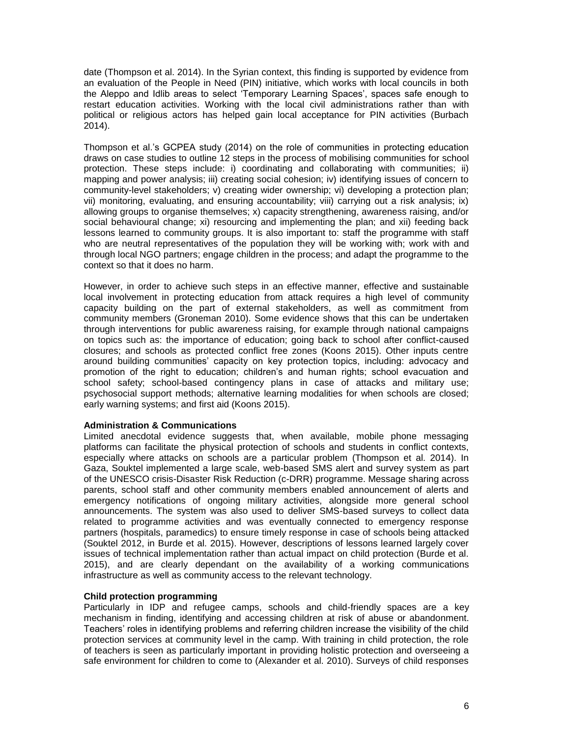date (Thompson et al. 2014). In the Syrian context, this finding is supported by evidence from an evaluation of the People in Need (PIN) initiative, which works with local councils in both the Aleppo and Idlib areas to select 'Temporary Learning Spaces', spaces safe enough to restart education activities. Working with the local civil administrations rather than with political or religious actors has helped gain local acceptance for PIN activities (Burbach 2014).

Thompson et al.'s GCPEA study (2014) on the role of communities in protecting education draws on case studies to outline 12 steps in the process of mobilising communities for school protection. These steps include: i) coordinating and collaborating with communities; ii) mapping and power analysis; iii) creating social cohesion; iv) identifying issues of concern to community-level stakeholders; v) creating wider ownership; vi) developing a protection plan; vii) monitoring, evaluating, and ensuring accountability; viii) carrying out a risk analysis; ix) allowing groups to organise themselves; x) capacity strengthening, awareness raising, and/or social behavioural change; xi) resourcing and implementing the plan; and xii) feeding back lessons learned to community groups. It is also important to: staff the programme with staff who are neutral representatives of the population they will be working with; work with and through local NGO partners; engage children in the process; and adapt the programme to the context so that it does no harm.

However, in order to achieve such steps in an effective manner, effective and sustainable local involvement in protecting education from attack requires a high level of community capacity building on the part of external stakeholders, as well as commitment from community members (Groneman 2010). Some evidence shows that this can be undertaken through interventions for public awareness raising, for example through national campaigns on topics such as: the importance of education; going back to school after conflict-caused closures; and schools as protected conflict free zones (Koons 2015). Other inputs centre around building communities' capacity on key protection topics, including: advocacy and promotion of the right to education; children's and human rights; school evacuation and school safety; school-based contingency plans in case of attacks and military use; psychosocial support methods; alternative learning modalities for when schools are closed; early warning systems; and first aid (Koons 2015).

## **Administration & Communications**

Limited anecdotal evidence suggests that, when available, mobile phone messaging platforms can facilitate the physical protection of schools and students in conflict contexts, especially where attacks on schools are a particular problem (Thompson et al. 2014). In Gaza, Souktel implemented a large scale, web-based SMS alert and survey system as part of the UNESCO crisis-Disaster Risk Reduction (c-DRR) programme. Message sharing across parents, school staff and other community members enabled announcement of alerts and emergency notifications of ongoing military activities, alongside more general school announcements. The system was also used to deliver SMS-based surveys to collect data related to programme activities and was eventually connected to emergency response partners (hospitals, paramedics) to ensure timely response in case of schools being attacked (Souktel 2012, in Burde et al. 2015). However, descriptions of lessons learned largely cover issues of technical implementation rather than actual impact on child protection (Burde et al. 2015), and are clearly dependant on the availability of a working communications infrastructure as well as community access to the relevant technology.

## **Child protection programming**

Particularly in IDP and refugee camps, schools and child-friendly spaces are a key mechanism in finding, identifying and accessing children at risk of abuse or abandonment. Teachers' roles in identifying problems and referring children increase the visibility of the child protection services at community level in the camp. With training in child protection, the role of teachers is seen as particularly important in providing holistic protection and overseeing a safe environment for children to come to (Alexander et al. 2010). Surveys of child responses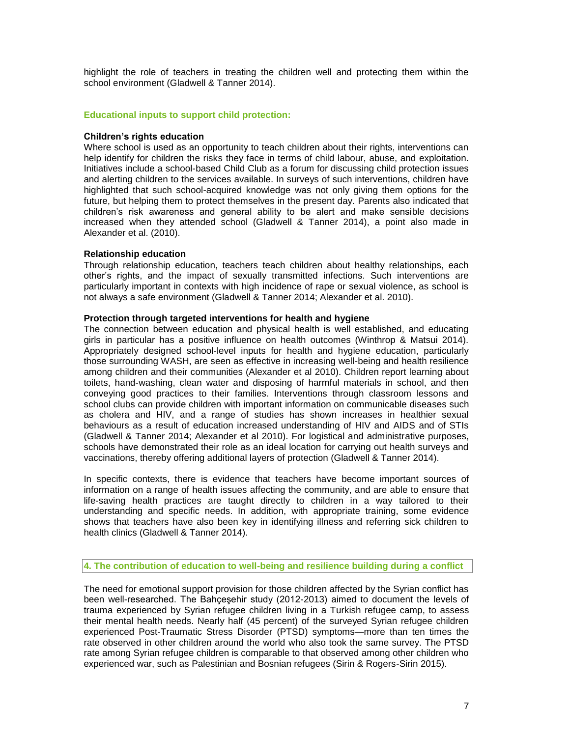highlight the role of teachers in treating the children well and protecting them within the school environment (Gladwell & Tanner 2014).

## **Educational inputs to support child protection:**

#### **Children's rights education**

Where school is used as an opportunity to teach children about their rights, interventions can help identify for children the risks they face in terms of child labour, abuse, and exploitation. Initiatives include a school-based Child Club as a forum for discussing child protection issues and alerting children to the services available. In surveys of such interventions, children have highlighted that such school-acquired knowledge was not only giving them options for the future, but helping them to protect themselves in the present day. Parents also indicated that children's risk awareness and general ability to be alert and make sensible decisions increased when they attended school (Gladwell & Tanner 2014), a point also made in Alexander et al. (2010).

#### **Relationship education**

Through relationship education, teachers teach children about healthy relationships, each other's rights, and the impact of sexually transmitted infections. Such interventions are particularly important in contexts with high incidence of rape or sexual violence, as school is not always a safe environment (Gladwell & Tanner 2014; Alexander et al. 2010).

#### **Protection through targeted interventions for health and hygiene**

The connection between education and physical health is well established, and educating girls in particular has a positive influence on health outcomes (Winthrop & Matsui 2014). Appropriately designed school-level inputs for health and hygiene education, particularly those surrounding WASH, are seen as effective in increasing well-being and health resilience among children and their communities (Alexander et al 2010). Children report learning about toilets, hand-washing, clean water and disposing of harmful materials in school, and then conveying good practices to their families. Interventions through classroom lessons and school clubs can provide children with important information on communicable diseases such as cholera and HIV, and a range of studies has shown increases in healthier sexual behaviours as a result of education increased understanding of HIV and AIDS and of STIs (Gladwell & Tanner 2014; Alexander et al 2010). For logistical and administrative purposes, schools have demonstrated their role as an ideal location for carrying out health surveys and vaccinations, thereby offering additional layers of protection (Gladwell & Tanner 2014).

In specific contexts, there is evidence that teachers have become important sources of information on a range of health issues affecting the community, and are able to ensure that life-saving health practices are taught directly to children in a way tailored to their understanding and specific needs. In addition, with appropriate training, some evidence shows that teachers have also been key in identifying illness and referring sick children to health clinics (Gladwell & Tanner 2014).

## **4. The contribution of education to well-being and resilience building during a conflict**

The need for emotional support provision for those children affected by the Syrian conflict has been well-researched. The Bahçeşehir study (2012-2013) aimed to document the levels of trauma experienced by Syrian refugee children living in a Turkish refugee camp, to assess their mental health needs. Nearly half (45 percent) of the surveyed Syrian refugee children experienced Post-Traumatic Stress Disorder (PTSD) symptoms—more than ten times the rate observed in other children around the world who also took the same survey. The PTSD rate among Syrian refugee children is comparable to that observed among other children who experienced war, such as Palestinian and Bosnian refugees (Sirin & Rogers-Sirin 2015).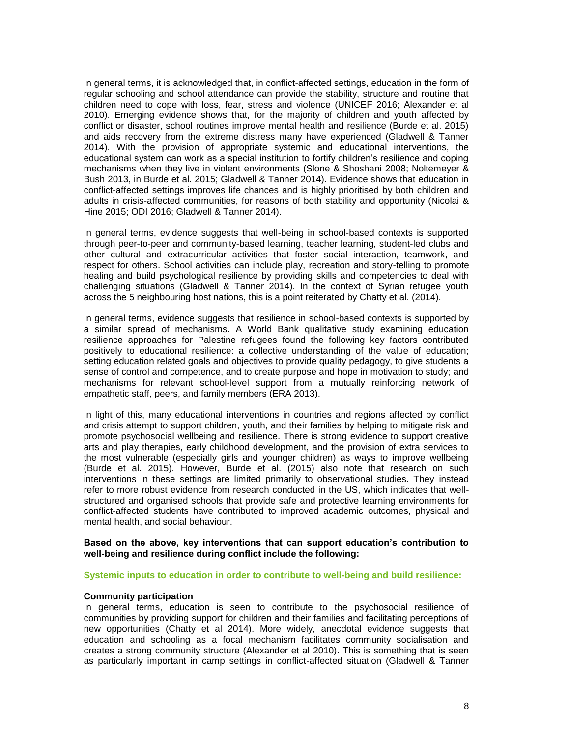In general terms, it is acknowledged that, in conflict-affected settings, education in the form of regular schooling and school attendance can provide the stability, structure and routine that children need to cope with loss, fear, stress and violence (UNICEF 2016; Alexander et al 2010). Emerging evidence shows that, for the majority of children and youth affected by conflict or disaster, school routines improve mental health and resilience (Burde et al. 2015) and aids recovery from the extreme distress many have experienced (Gladwell & Tanner 2014). With the provision of appropriate systemic and educational interventions, the educational system can work as a special institution to fortify children's resilience and coping mechanisms when they live in violent environments (Slone & Shoshani 2008; Noltemeyer & Bush 2013, in Burde et al. 2015; Gladwell & Tanner 2014). Evidence shows that education in conflict-affected settings improves life chances and is highly prioritised by both children and adults in crisis-affected communities, for reasons of both stability and opportunity (Nicolai & Hine 2015; ODI 2016; Gladwell & Tanner 2014).

In general terms, evidence suggests that well-being in school-based contexts is supported through peer-to-peer and community-based learning, teacher learning, student-led clubs and other cultural and extracurricular activities that foster social interaction, teamwork, and respect for others. School activities can include play, recreation and story-telling to promote healing and build psychological resilience by providing skills and competencies to deal with challenging situations (Gladwell & Tanner 2014). In the context of Syrian refugee youth across the 5 neighbouring host nations, this is a point reiterated by Chatty et al. (2014).

In general terms, evidence suggests that resilience in school-based contexts is supported by a similar spread of mechanisms. A World Bank qualitative study examining education resilience approaches for Palestine refugees found the following key factors contributed positively to educational resilience: a collective understanding of the value of education; setting education related goals and objectives to provide quality pedagogy, to give students a sense of control and competence, and to create purpose and hope in motivation to study; and mechanisms for relevant school-level support from a mutually reinforcing network of empathetic staff, peers, and family members (ERA 2013).

In light of this, many educational interventions in countries and regions affected by conflict and crisis attempt to support children, youth, and their families by helping to mitigate risk and promote psychosocial wellbeing and resilience. There is strong evidence to support creative arts and play therapies, early childhood development, and the provision of extra services to the most vulnerable (especially girls and younger children) as ways to improve wellbeing (Burde et al. 2015). However, Burde et al. (2015) also note that research on such interventions in these settings are limited primarily to observational studies. They instead refer to more robust evidence from research conducted in the US, which indicates that wellstructured and organised schools that provide safe and protective learning environments for conflict-affected students have contributed to improved academic outcomes, physical and mental health, and social behaviour.

#### **Based on the above, key interventions that can support education's contribution to well-being and resilience during conflict include the following:**

#### **Systemic inputs to education in order to contribute to well-being and build resilience:**

#### **Community participation**

In general terms, education is seen to contribute to the psychosocial resilience of communities by providing support for children and their families and facilitating perceptions of new opportunities (Chatty et al 2014). More widely, anecdotal evidence suggests that education and schooling as a focal mechanism facilitates community socialisation and creates a strong community structure (Alexander et al 2010). This is something that is seen as particularly important in camp settings in conflict-affected situation (Gladwell & Tanner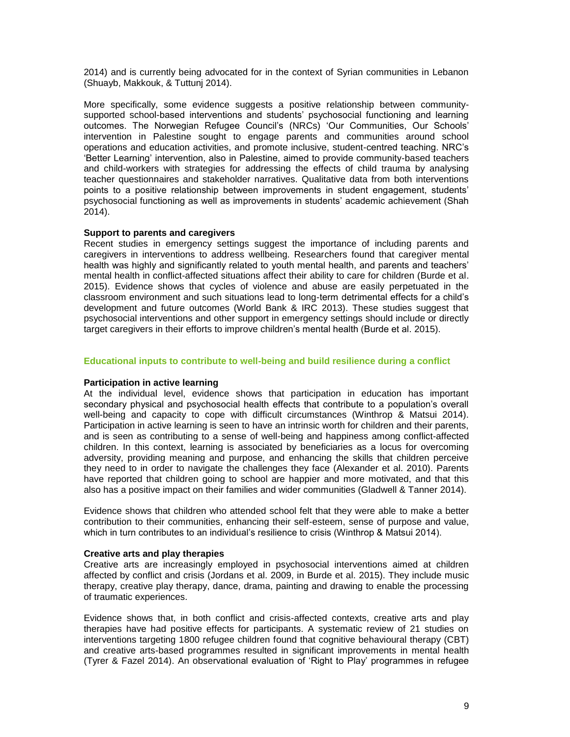2014) and is currently being advocated for in the context of Syrian communities in Lebanon (Shuayb, Makkouk, & Tuttunj 2014).

More specifically, some evidence suggests a positive relationship between communitysupported school-based interventions and students' psychosocial functioning and learning outcomes. The Norwegian Refugee Council's (NRCs) 'Our Communities, Our Schools' intervention in Palestine sought to engage parents and communities around school operations and education activities, and promote inclusive, student-centred teaching. NRC's 'Better Learning' intervention, also in Palestine, aimed to provide community-based teachers and child-workers with strategies for addressing the effects of child trauma by analysing teacher questionnaires and stakeholder narratives. Qualitative data from both interventions points to a positive relationship between improvements in student engagement, students' psychosocial functioning as well as improvements in students' academic achievement (Shah 2014).

#### **Support to parents and caregivers**

Recent studies in emergency settings suggest the importance of including parents and caregivers in interventions to address wellbeing. Researchers found that caregiver mental health was highly and significantly related to youth mental health, and parents and teachers' mental health in conflict-affected situations affect their ability to care for children (Burde et al. 2015). Evidence shows that cycles of violence and abuse are easily perpetuated in the classroom environment and such situations lead to long-term detrimental effects for a child's development and future outcomes (World Bank & IRC 2013). These studies suggest that psychosocial interventions and other support in emergency settings should include or directly target caregivers in their efforts to improve children's mental health (Burde et al. 2015).

#### **Educational inputs to contribute to well-being and build resilience during a conflict**

#### **Participation in active learning**

At the individual level, evidence shows that participation in education has important secondary physical and psychosocial health effects that contribute to a population's overall well-being and capacity to cope with difficult circumstances (Winthrop & Matsui 2014). Participation in active learning is seen to have an intrinsic worth for children and their parents, and is seen as contributing to a sense of well-being and happiness among conflict-affected children. In this context, learning is associated by beneficiaries as a locus for overcoming adversity, providing meaning and purpose, and enhancing the skills that children perceive they need to in order to navigate the challenges they face (Alexander et al. 2010). Parents have reported that children going to school are happier and more motivated, and that this also has a positive impact on their families and wider communities (Gladwell & Tanner 2014).

Evidence shows that children who attended school felt that they were able to make a better contribution to their communities, enhancing their self-esteem, sense of purpose and value, which in turn contributes to an individual's resilience to crisis (Winthrop & Matsui 2014).

#### **Creative arts and play therapies**

Creative arts are increasingly employed in psychosocial interventions aimed at children affected by conflict and crisis (Jordans et al. 2009, in Burde et al. 2015). They include music therapy, creative play therapy, dance, drama, painting and drawing to enable the processing of traumatic experiences.

Evidence shows that, in both conflict and crisis-affected contexts, creative arts and play therapies have had positive effects for participants. A systematic review of 21 studies on interventions targeting 1800 refugee children found that cognitive behavioural therapy (CBT) and creative arts-based programmes resulted in significant improvements in mental health (Tyrer & Fazel 2014). An observational evaluation of 'Right to Play' programmes in refugee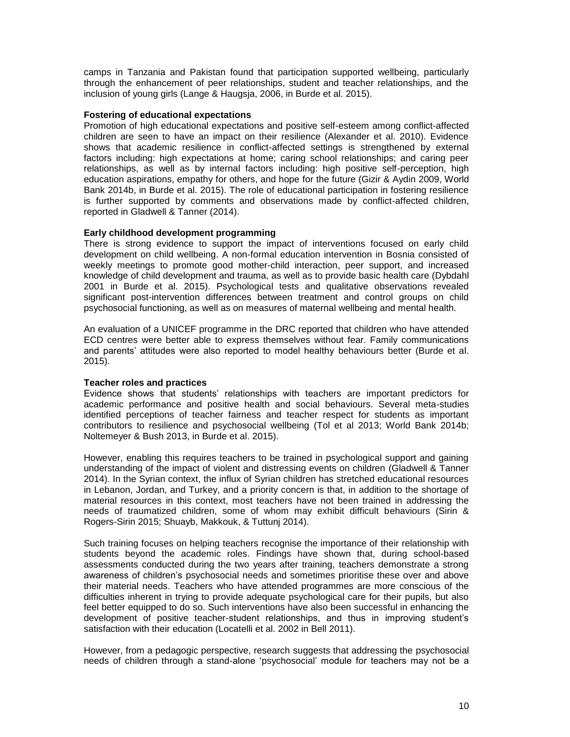camps in Tanzania and Pakistan found that participation supported wellbeing, particularly through the enhancement of peer relationships, student and teacher relationships, and the inclusion of young girls (Lange & Haugsja, 2006, in Burde et al. 2015).

## **Fostering of educational expectations**

Promotion of high educational expectations and positive self-esteem among conflict-affected children are seen to have an impact on their resilience (Alexander et al. 2010). Evidence shows that academic resilience in conflict-affected settings is strengthened by external factors including: high expectations at home; caring school relationships; and caring peer relationships, as well as by internal factors including: high positive self-perception, high education aspirations, empathy for others, and hope for the future (Gizir & Aydin 2009, World Bank 2014b, in Burde et al. 2015). The role of educational participation in fostering resilience is further supported by comments and observations made by conflict-affected children, reported in Gladwell & Tanner (2014).

## **Early childhood development programming**

There is strong evidence to support the impact of interventions focused on early child development on child wellbeing. A non-formal education intervention in Bosnia consisted of weekly meetings to promote good mother-child interaction, peer support, and increased knowledge of child development and trauma, as well as to provide basic health care (Dybdahl 2001 in Burde et al. 2015). Psychological tests and qualitative observations revealed significant post-intervention differences between treatment and control groups on child psychosocial functioning, as well as on measures of maternal wellbeing and mental health.

An evaluation of a UNICEF programme in the DRC reported that children who have attended ECD centres were better able to express themselves without fear. Family communications and parents' attitudes were also reported to model healthy behaviours better (Burde et al. 2015).

## **Teacher roles and practices**

Evidence shows that students' relationships with teachers are important predictors for academic performance and positive health and social behaviours. Several meta-studies identified perceptions of teacher fairness and teacher respect for students as important contributors to resilience and psychosocial wellbeing (Tol et al 2013; World Bank 2014b; Noltemeyer & Bush 2013, in Burde et al. 2015).

However, enabling this requires teachers to be trained in psychological support and gaining understanding of the impact of violent and distressing events on children (Gladwell & Tanner 2014). In the Syrian context, the influx of Syrian children has stretched educational resources in Lebanon, Jordan, and Turkey, and a priority concern is that, in addition to the shortage of material resources in this context, most teachers have not been trained in addressing the needs of traumatized children, some of whom may exhibit difficult behaviours (Sirin & Rogers-Sirin 2015; Shuayb, Makkouk, & Tuttunj 2014).

Such training focuses on helping teachers recognise the importance of their relationship with students beyond the academic roles. Findings have shown that, during school-based assessments conducted during the two years after training, teachers demonstrate a strong awareness of children's psychosocial needs and sometimes prioritise these over and above their material needs. Teachers who have attended programmes are more conscious of the difficulties inherent in trying to provide adequate psychological care for their pupils, but also feel better equipped to do so. Such interventions have also been successful in enhancing the development of positive teacher-student relationships, and thus in improving student's satisfaction with their education (Locatelli et al. 2002 in Bell 2011).

However, from a pedagogic perspective, research suggests that addressing the psychosocial needs of children through a stand-alone 'psychosocial' module for teachers may not be a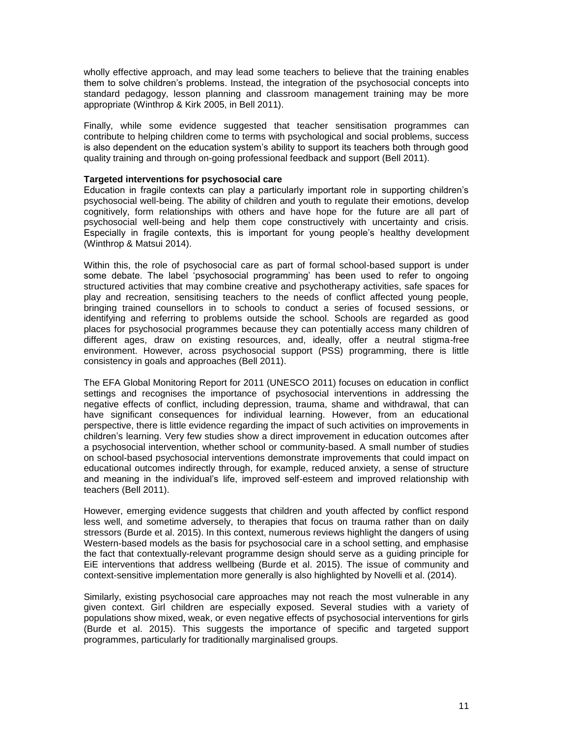wholly effective approach, and may lead some teachers to believe that the training enables them to solve children's problems. Instead, the integration of the psychosocial concepts into standard pedagogy, lesson planning and classroom management training may be more appropriate (Winthrop & Kirk 2005, in Bell 2011).

Finally, while some evidence suggested that teacher sensitisation programmes can contribute to helping children come to terms with psychological and social problems, success is also dependent on the education system's ability to support its teachers both through good quality training and through on-going professional feedback and support (Bell 2011).

## **Targeted interventions for psychosocial care**

Education in fragile contexts can play a particularly important role in supporting children's psychosocial well-being. The ability of children and youth to regulate their emotions, develop cognitively, form relationships with others and have hope for the future are all part of psychosocial well-being and help them cope constructively with uncertainty and crisis. Especially in fragile contexts, this is important for young people's healthy development (Winthrop & Matsui 2014).

Within this, the role of psychosocial care as part of formal school-based support is under some debate. The label 'psychosocial programming' has been used to refer to ongoing structured activities that may combine creative and psychotherapy activities, safe spaces for play and recreation, sensitising teachers to the needs of conflict affected young people, bringing trained counsellors in to schools to conduct a series of focused sessions, or identifying and referring to problems outside the school. Schools are regarded as good places for psychosocial programmes because they can potentially access many children of different ages, draw on existing resources, and, ideally, offer a neutral stigma-free environment. However, across psychosocial support (PSS) programming, there is little consistency in goals and approaches (Bell 2011).

The EFA Global Monitoring Report for 2011 (UNESCO 2011) focuses on education in conflict settings and recognises the importance of psychosocial interventions in addressing the negative effects of conflict, including depression, trauma, shame and withdrawal, that can have significant consequences for individual learning. However, from an educational perspective, there is little evidence regarding the impact of such activities on improvements in children's learning. Very few studies show a direct improvement in education outcomes after a psychosocial intervention, whether school or community-based. A small number of studies on school-based psychosocial interventions demonstrate improvements that could impact on educational outcomes indirectly through, for example, reduced anxiety, a sense of structure and meaning in the individual's life, improved self-esteem and improved relationship with teachers (Bell 2011).

However, emerging evidence suggests that children and youth affected by conflict respond less well, and sometime adversely, to therapies that focus on trauma rather than on daily stressors (Burde et al. 2015). In this context, numerous reviews highlight the dangers of using Western-based models as the basis for psychosocial care in a school setting, and emphasise the fact that contextually-relevant programme design should serve as a guiding principle for EiE interventions that address wellbeing (Burde et al. 2015). The issue of community and context-sensitive implementation more generally is also highlighted by Novelli et al. (2014).

Similarly, existing psychosocial care approaches may not reach the most vulnerable in any given context. Girl children are especially exposed. Several studies with a variety of populations show mixed, weak, or even negative effects of psychosocial interventions for girls (Burde et al. 2015). This suggests the importance of specific and targeted support programmes, particularly for traditionally marginalised groups.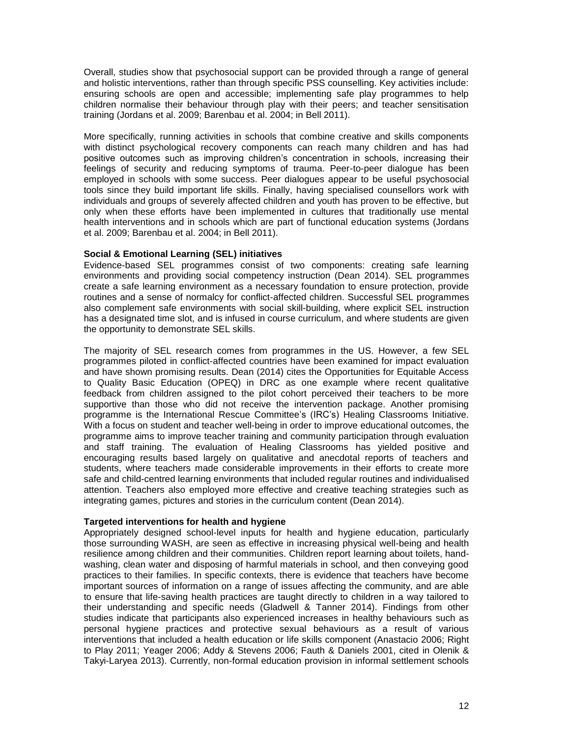Overall, studies show that psychosocial support can be provided through a range of general and holistic interventions, rather than through specific PSS counselling. Key activities include: ensuring schools are open and accessible; implementing safe play programmes to help children normalise their behaviour through play with their peers; and teacher sensitisation training (Jordans et al. 2009; Barenbau et al. 2004; in Bell 2011).

More specifically, running activities in schools that combine creative and skills components with distinct psychological recovery components can reach many children and has had positive outcomes such as improving children's concentration in schools, increasing their feelings of security and reducing symptoms of trauma. Peer-to-peer dialogue has been employed in schools with some success. Peer dialogues appear to be useful psychosocial tools since they build important life skills. Finally, having specialised counsellors work with individuals and groups of severely affected children and youth has proven to be effective, but only when these efforts have been implemented in cultures that traditionally use mental health interventions and in schools which are part of functional education systems (Jordans et al. 2009; Barenbau et al. 2004; in Bell 2011).

## **Social & Emotional Learning (SEL) initiatives**

Evidence-based SEL programmes consist of two components: creating safe learning environments and providing social competency instruction (Dean 2014). SEL programmes create a safe learning environment as a necessary foundation to ensure protection, provide routines and a sense of normalcy for conflict-affected children. Successful SEL programmes also complement safe environments with social skill-building, where explicit SEL instruction has a designated time slot, and is infused in course curriculum, and where students are given the opportunity to demonstrate SEL skills.

The majority of SEL research comes from programmes in the US. However, a few SEL programmes piloted in conflict-affected countries have been examined for impact evaluation and have shown promising results. Dean (2014) cites the Opportunities for Equitable Access to Quality Basic Education (OPEQ) in DRC as one example where recent qualitative feedback from children assigned to the pilot cohort perceived their teachers to be more supportive than those who did not receive the intervention package. Another promising programme is the International Rescue Committee's (IRC's) Healing Classrooms Initiative. With a focus on student and teacher well-being in order to improve educational outcomes, the programme aims to improve teacher training and community participation through evaluation and staff training. The evaluation of Healing Classrooms has yielded positive and encouraging results based largely on qualitative and anecdotal reports of teachers and students, where teachers made considerable improvements in their efforts to create more safe and child-centred learning environments that included regular routines and individualised attention. Teachers also employed more effective and creative teaching strategies such as integrating games, pictures and stories in the curriculum content (Dean 2014).

## **Targeted interventions for health and hygiene**

Appropriately designed school-level inputs for health and hygiene education, particularly those surrounding WASH, are seen as effective in increasing physical well-being and health resilience among children and their communities. Children report learning about toilets, handwashing, clean water and disposing of harmful materials in school, and then conveying good practices to their families. In specific contexts, there is evidence that teachers have become important sources of information on a range of issues affecting the community, and are able to ensure that life-saving health practices are taught directly to children in a way tailored to their understanding and specific needs (Gladwell & Tanner 2014). Findings from other studies indicate that participants also experienced increases in healthy behaviours such as personal hygiene practices and protective sexual behaviours as a result of various interventions that included a health education or life skills component (Anastacio 2006; Right to Play 2011; Yeager 2006; Addy & Stevens 2006; Fauth & Daniels 2001, cited in Olenik & Takyi-Laryea 2013). Currently, non-formal education provision in informal settlement schools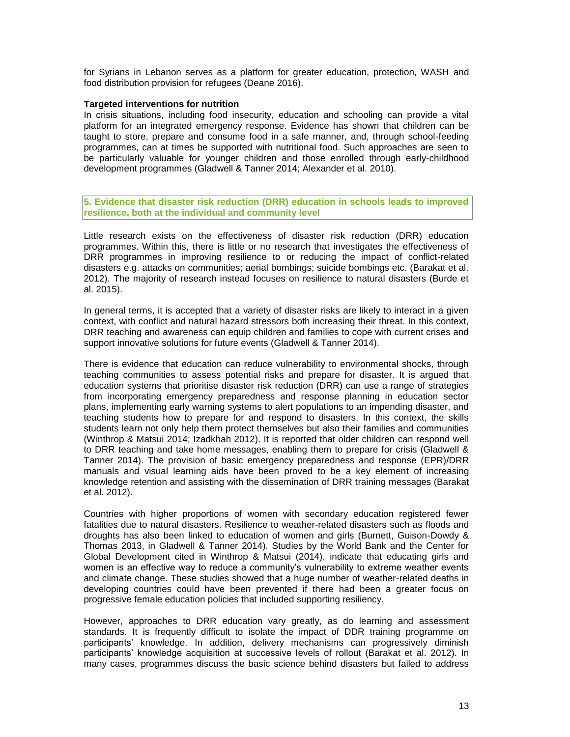for Syrians in Lebanon serves as a platform for greater education, protection, WASH and food distribution provision for refugees (Deane 2016).

## **Targeted interventions for nutrition**

In crisis situations, including food insecurity, education and schooling can provide a vital platform for an integrated emergency response. Evidence has shown that children can be taught to store, prepare and consume food in a safe manner, and, through school-feeding programmes, can at times be supported with nutritional food. Such approaches are seen to be particularly valuable for younger children and those enrolled through early-childhood development programmes (Gladwell & Tanner 2014; Alexander et al. 2010).

**5. Evidence that disaster risk reduction (DRR) education in schools leads to improved resilience, both at the individual and community level**

Little research exists on the effectiveness of disaster risk reduction (DRR) education programmes. Within this, there is little or no research that investigates the effectiveness of DRR programmes in improving resilience to or reducing the impact of conflict-related disasters e.g. attacks on communities; aerial bombings; suicide bombings etc. (Barakat et al. 2012). The majority of research instead focuses on resilience to natural disasters (Burde et al. 2015).

In general terms, it is accepted that a variety of disaster risks are likely to interact in a given context, with conflict and natural hazard stressors both increasing their threat. In this context, DRR teaching and awareness can equip children and families to cope with current crises and support innovative solutions for future events (Gladwell & Tanner 2014).

There is evidence that education can reduce vulnerability to environmental shocks, through teaching communities to assess potential risks and prepare for disaster. It is argued that education systems that prioritise disaster risk reduction (DRR) can use a range of strategies from incorporating emergency preparedness and response planning in education sector plans, implementing early warning systems to alert populations to an impending disaster, and teaching students how to prepare for and respond to disasters. In this context, the skills students learn not only help them protect themselves but also their families and communities (Winthrop & Matsui 2014; Izadkhah 2012). It is reported that older children can respond well to DRR teaching and take home messages, enabling them to prepare for crisis (Gladwell & Tanner 2014). The provision of basic emergency preparedness and response (EPR)/DRR manuals and visual learning aids have been proved to be a key element of increasing knowledge retention and assisting with the dissemination of DRR training messages (Barakat et al. 2012).

Countries with higher proportions of women with secondary education registered fewer fatalities due to natural disasters. Resilience to weather-related disasters such as floods and droughts has also been linked to education of women and girls (Burnett, Guison-Dowdy & Thomas 2013, in Gladwell & Tanner 2014). Studies by the World Bank and the Center for Global Development cited in Winthrop & Matsui (2014), indicate that educating girls and women is an effective way to reduce a community's vulnerability to extreme weather events and climate change. These studies showed that a huge number of weather-related deaths in developing countries could have been prevented if there had been a greater focus on progressive female education policies that included supporting resiliency.

However, approaches to DRR education vary greatly, as do learning and assessment standards. It is frequently difficult to isolate the impact of DDR training programme on participants' knowledge. In addition, delivery mechanisms can progressively diminish participants' knowledge acquisition at successive levels of rollout (Barakat et al. 2012). In many cases, programmes discuss the basic science behind disasters but failed to address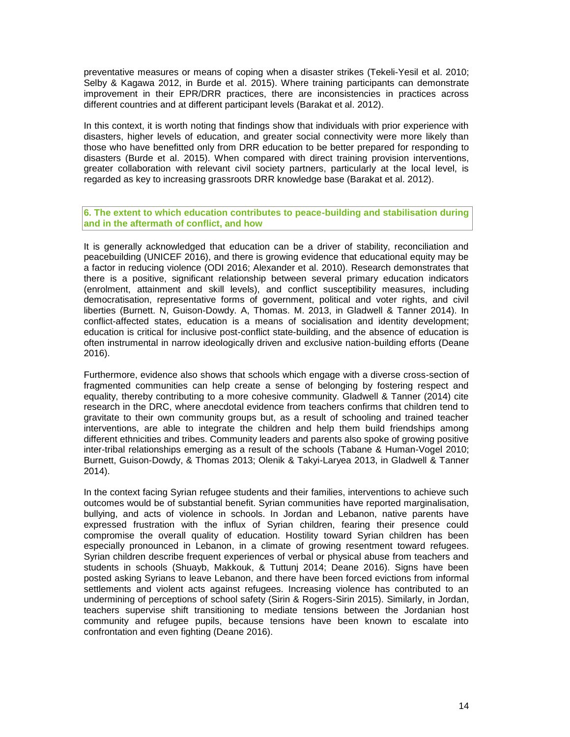preventative measures or means of coping when a disaster strikes (Tekeli-Yesil et al. 2010; Selby & Kagawa 2012, in Burde et al. 2015). Where training participants can demonstrate improvement in their EPR/DRR practices, there are inconsistencies in practices across different countries and at different participant levels (Barakat et al. 2012).

In this context, it is worth noting that findings show that individuals with prior experience with disasters, higher levels of education, and greater social connectivity were more likely than those who have benefitted only from DRR education to be better prepared for responding to disasters (Burde et al. 2015). When compared with direct training provision interventions, greater collaboration with relevant civil society partners, particularly at the local level, is regarded as key to increasing grassroots DRR knowledge base (Barakat et al. 2012).

**6. The extent to which education contributes to peace-building and stabilisation during and in the aftermath of conflict, and how**

It is generally acknowledged that education can be a driver of stability, reconciliation and peacebuilding (UNICEF 2016), and there is growing evidence that educational equity may be a factor in reducing violence (ODI 2016; Alexander et al. 2010). Research demonstrates that there is a positive, significant relationship between several primary education indicators (enrolment, attainment and skill levels), and conflict susceptibility measures, including democratisation, representative forms of government, political and voter rights, and civil liberties (Burnett. N, Guison-Dowdy. A, Thomas. M. 2013, in Gladwell & Tanner 2014). In conflict-affected states, education is a means of socialisation and identity development; education is critical for inclusive post-conflict state-building, and the absence of education is often instrumental in narrow ideologically driven and exclusive nation-building efforts (Deane 2016).

Furthermore, evidence also shows that schools which engage with a diverse cross-section of fragmented communities can help create a sense of belonging by fostering respect and equality, thereby contributing to a more cohesive community. Gladwell & Tanner (2014) cite research in the DRC, where anecdotal evidence from teachers confirms that children tend to gravitate to their own community groups but, as a result of schooling and trained teacher interventions, are able to integrate the children and help them build friendships among different ethnicities and tribes. Community leaders and parents also spoke of growing positive inter-tribal relationships emerging as a result of the schools (Tabane & Human-Vogel 2010; Burnett, Guison-Dowdy, & Thomas 2013; Olenik & Takyi-Laryea 2013, in Gladwell & Tanner 2014).

In the context facing Syrian refugee students and their families, interventions to achieve such outcomes would be of substantial benefit. Syrian communities have reported marginalisation, bullying, and acts of violence in schools. In Jordan and Lebanon, native parents have expressed frustration with the influx of Syrian children, fearing their presence could compromise the overall quality of education. Hostility toward Syrian children has been especially pronounced in Lebanon, in a climate of growing resentment toward refugees. Syrian children describe frequent experiences of verbal or physical abuse from teachers and students in schools (Shuayb, Makkouk, & Tuttunj 2014; Deane 2016). Signs have been posted asking Syrians to leave Lebanon, and there have been forced evictions from informal settlements and violent acts against refugees. Increasing violence has contributed to an undermining of perceptions of school safety (Sirin & Rogers-Sirin 2015). Similarly, in Jordan, teachers supervise shift transitioning to mediate tensions between the Jordanian host community and refugee pupils, because tensions have been known to escalate into confrontation and even fighting (Deane 2016).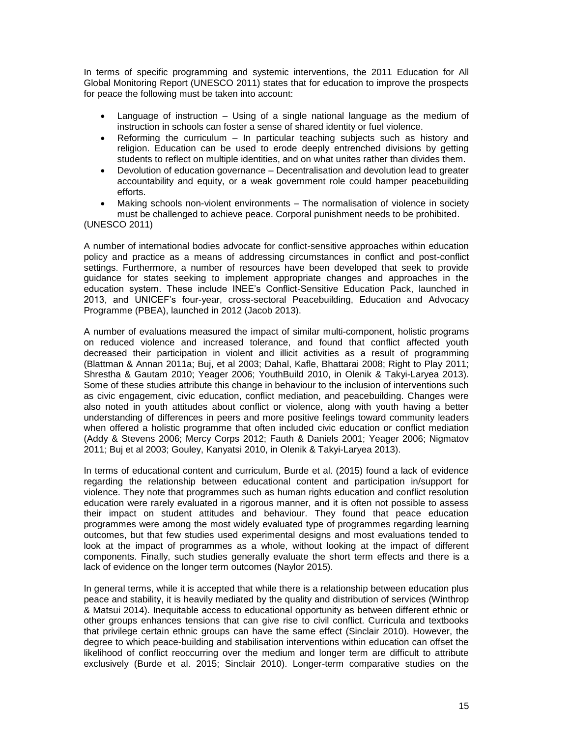In terms of specific programming and systemic interventions, the 2011 Education for All Global Monitoring Report (UNESCO 2011) states that for education to improve the prospects for peace the following must be taken into account:

- Language of instruction Using of a single national language as the medium of instruction in schools can foster a sense of shared identity or fuel violence.
- Reforming the curriculum In particular teaching subjects such as history and religion. Education can be used to erode deeply entrenched divisions by getting students to reflect on multiple identities, and on what unites rather than divides them.
- Devolution of education governance Decentralisation and devolution lead to greater accountability and equity, or a weak government role could hamper peacebuilding efforts.
- Making schools non-violent environments The normalisation of violence in society must be challenged to achieve peace. Corporal punishment needs to be prohibited.

(UNESCO 2011)

A number of international bodies advocate for conflict-sensitive approaches within education policy and practice as a means of addressing circumstances in conflict and post-conflict settings. Furthermore, a number of resources have been developed that seek to provide guidance for states seeking to implement appropriate changes and approaches in the education system. These include INEE's Conflict-Sensitive Education Pack, launched in 2013, and UNICEF's four-year, cross-sectoral Peacebuilding, Education and Advocacy Programme (PBEA), launched in 2012 (Jacob 2013).

A number of evaluations measured the impact of similar multi-component, holistic programs on reduced violence and increased tolerance, and found that conflict affected youth decreased their participation in violent and illicit activities as a result of programming (Blattman & Annan 2011a; Buj, et al 2003; Dahal, Kafle, Bhattarai 2008; Right to Play 2011; Shrestha & Gautam 2010; Yeager 2006; YouthBuild 2010, in Olenik & Takyi-Laryea 2013). Some of these studies attribute this change in behaviour to the inclusion of interventions such as civic engagement, civic education, conflict mediation, and peacebuilding. Changes were also noted in youth attitudes about conflict or violence, along with youth having a better understanding of differences in peers and more positive feelings toward community leaders when offered a holistic programme that often included civic education or conflict mediation (Addy & Stevens 2006; Mercy Corps 2012; Fauth & Daniels 2001; Yeager 2006; Nigmatov 2011; Buj et al 2003; Gouley, Kanyatsi 2010, in Olenik & Takyi-Laryea 2013).

In terms of educational content and curriculum, Burde et al. (2015) found a lack of evidence regarding the relationship between educational content and participation in/support for violence. They note that programmes such as human rights education and conflict resolution education were rarely evaluated in a rigorous manner, and it is often not possible to assess their impact on student attitudes and behaviour. They found that peace education programmes were among the most widely evaluated type of programmes regarding learning outcomes, but that few studies used experimental designs and most evaluations tended to look at the impact of programmes as a whole, without looking at the impact of different components. Finally, such studies generally evaluate the short term effects and there is a lack of evidence on the longer term outcomes (Naylor 2015).

In general terms, while it is accepted that while there is a relationship between education plus peace and stability, it is heavily mediated by the quality and distribution of services (Winthrop & Matsui 2014). Inequitable access to educational opportunity as between different ethnic or other groups enhances tensions that can give rise to civil conflict. Curricula and textbooks that privilege certain ethnic groups can have the same effect (Sinclair 2010). However, the degree to which peace-building and stabilisation interventions within education can offset the likelihood of conflict reoccurring over the medium and longer term are difficult to attribute exclusively (Burde et al. 2015; Sinclair 2010). Longer-term comparative studies on the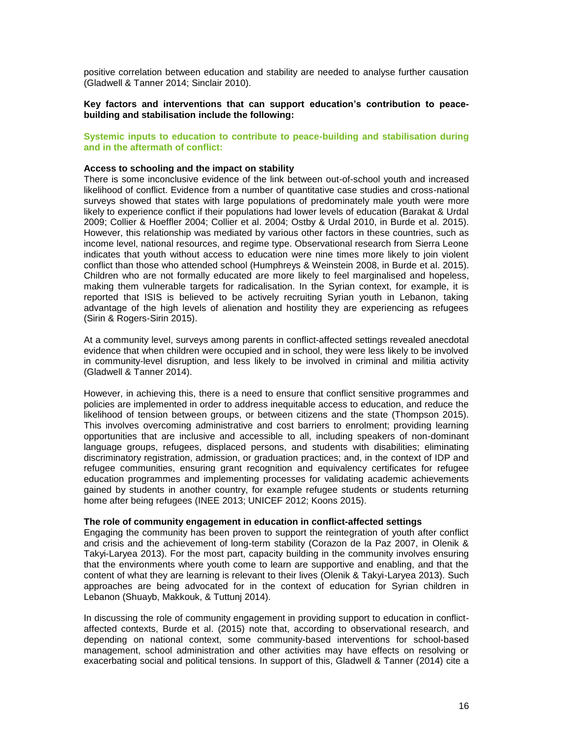positive correlation between education and stability are needed to analyse further causation (Gladwell & Tanner 2014; Sinclair 2010).

**Key factors and interventions that can support education's contribution to peacebuilding and stabilisation include the following:**

## **Systemic inputs to education to contribute to peace-building and stabilisation during and in the aftermath of conflict:**

#### **Access to schooling and the impact on stability**

There is some inconclusive evidence of the link between out-of-school youth and increased likelihood of conflict. Evidence from a number of quantitative case studies and cross-national surveys showed that states with large populations of predominately male youth were more likely to experience conflict if their populations had lower levels of education (Barakat & Urdal 2009; Collier & Hoeffler 2004; Collier et al. 2004; Ostby & Urdal 2010, in Burde et al. 2015). However, this relationship was mediated by various other factors in these countries, such as income level, national resources, and regime type. Observational research from Sierra Leone indicates that youth without access to education were nine times more likely to join violent conflict than those who attended school (Humphreys & Weinstein 2008, in Burde et al. 2015). Children who are not formally educated are more likely to feel marginalised and hopeless, making them vulnerable targets for radicalisation. In the Syrian context, for example, it is reported that ISIS is believed to be actively recruiting Syrian youth in Lebanon, taking advantage of the high levels of alienation and hostility they are experiencing as refugees (Sirin & Rogers-Sirin 2015).

At a community level, surveys among parents in conflict-affected settings revealed anecdotal evidence that when children were occupied and in school, they were less likely to be involved in community-level disruption, and less likely to be involved in criminal and militia activity (Gladwell & Tanner 2014).

However, in achieving this, there is a need to ensure that conflict sensitive programmes and policies are implemented in order to address inequitable access to education, and reduce the likelihood of tension between groups, or between citizens and the state (Thompson 2015). This involves overcoming administrative and cost barriers to enrolment; providing learning opportunities that are inclusive and accessible to all, including speakers of non-dominant language groups, refugees, displaced persons, and students with disabilities; eliminating discriminatory registration, admission, or graduation practices; and, in the context of IDP and refugee communities, ensuring grant recognition and equivalency certificates for refugee education programmes and implementing processes for validating academic achievements gained by students in another country, for example refugee students or students returning home after being refugees (INEE 2013; UNICEF 2012; Koons 2015).

#### **The role of community engagement in education in conflict-affected settings**

Engaging the community has been proven to support the reintegration of youth after conflict and crisis and the achievement of long-term stability (Corazon de la Paz 2007, in Olenik & Takyi-Laryea 2013). For the most part, capacity building in the community involves ensuring that the environments where youth come to learn are supportive and enabling, and that the content of what they are learning is relevant to their lives (Olenik & Takyi-Laryea 2013). Such approaches are being advocated for in the context of education for Syrian children in Lebanon (Shuayb, Makkouk, & Tuttunj 2014).

In discussing the role of community engagement in providing support to education in conflictaffected contexts, Burde et al. (2015) note that, according to observational research, and depending on national context, some community-based interventions for school-based management, school administration and other activities may have effects on resolving or exacerbating social and political tensions. In support of this, Gladwell & Tanner (2014) cite a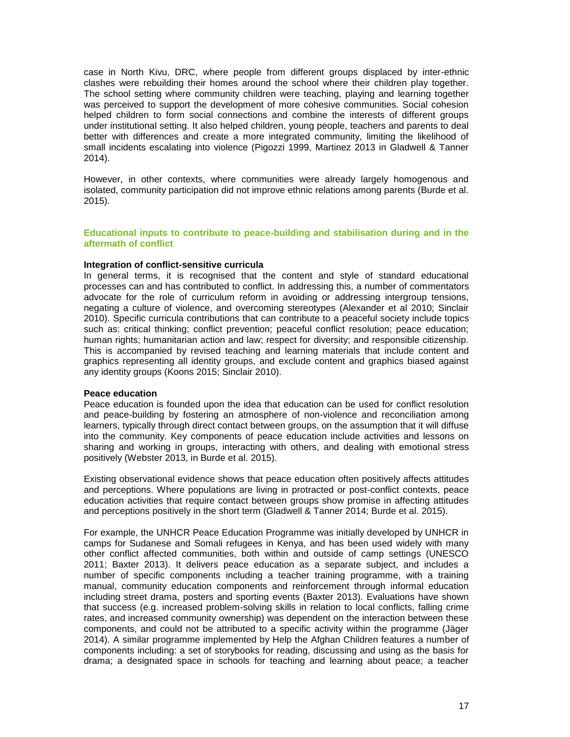case in North Kivu, DRC, where people from different groups displaced by inter-ethnic clashes were rebuilding their homes around the school where their children play together. The school setting where community children were teaching, playing and learning together was perceived to support the development of more cohesive communities. Social cohesion helped children to form social connections and combine the interests of different groups under institutional setting. It also helped children, young people, teachers and parents to deal better with differences and create a more integrated community, limiting the likelihood of small incidents escalating into violence (Pigozzi 1999, Martinez 2013 in Gladwell & Tanner 2014).

However, in other contexts, where communities were already largely homogenous and isolated, community participation did not improve ethnic relations among parents (Burde et al. 2015).

## **Educational inputs to contribute to peace-building and stabilisation during and in the aftermath of conflict**

#### **Integration of conflict-sensitive curricula**

In general terms, it is recognised that the content and style of standard educational processes can and has contributed to conflict. In addressing this, a number of commentators advocate for the role of curriculum reform in avoiding or addressing intergroup tensions, negating a culture of violence, and overcoming stereotypes (Alexander et al 2010; Sinclair 2010). Specific curricula contributions that can contribute to a peaceful society include topics such as: critical thinking; conflict prevention; peaceful conflict resolution; peace education; human rights; humanitarian action and law; respect for diversity; and responsible citizenship. This is accompanied by revised teaching and learning materials that include content and graphics representing all identity groups, and exclude content and graphics biased against any identity groups (Koons 2015; Sinclair 2010).

#### **Peace education**

Peace education is founded upon the idea that education can be used for conflict resolution and peace-building by fostering an atmosphere of non-violence and reconciliation among learners, typically through direct contact between groups, on the assumption that it will diffuse into the community. Key components of peace education include activities and lessons on sharing and working in groups, interacting with others, and dealing with emotional stress positively (Webster 2013, in Burde et al. 2015).

Existing observational evidence shows that peace education often positively affects attitudes and perceptions. Where populations are living in protracted or post-conflict contexts, peace education activities that require contact between groups show promise in affecting attitudes and perceptions positively in the short term (Gladwell & Tanner 2014; Burde et al. 2015).

For example, the UNHCR Peace Education Programme was initially developed by UNHCR in camps for Sudanese and Somali refugees in Kenya, and has been used widely with many other conflict affected communities, both within and outside of camp settings (UNESCO 2011; Baxter 2013). It delivers peace education as a separate subject, and includes a number of specific components including a teacher training programme, with a training manual, community education components and reinforcement through informal education including street drama, posters and sporting events (Baxter 2013). Evaluations have shown that success (e.g. increased problem-solving skills in relation to local conflicts, falling crime rates, and increased community ownership) was dependent on the interaction between these components, and could not be attributed to a specific activity within the programme (Jäger 2014). A similar programme implemented by Help the Afghan Children features a number of components including: a set of storybooks for reading, discussing and using as the basis for drama; a designated space in schools for teaching and learning about peace; a teacher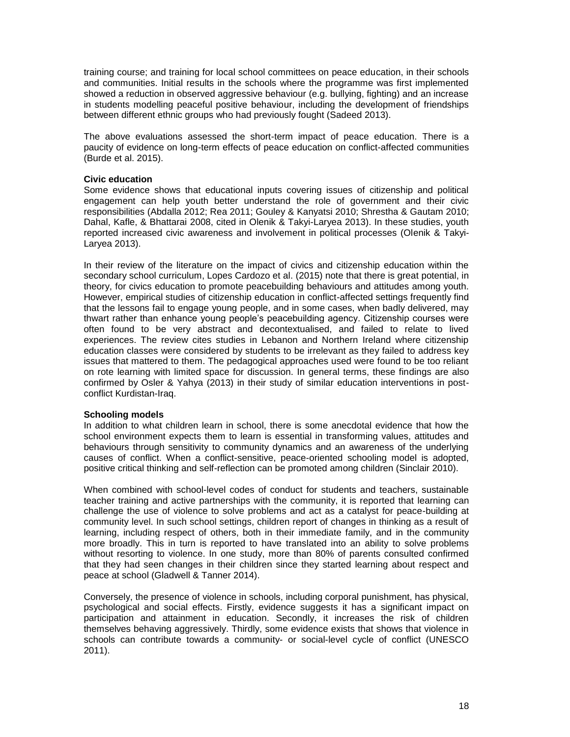training course; and training for local school committees on peace education, in their schools and communities. Initial results in the schools where the programme was first implemented showed a reduction in observed aggressive behaviour (e.g. bullying, fighting) and an increase in students modelling peaceful positive behaviour, including the development of friendships between different ethnic groups who had previously fought (Sadeed 2013).

The above evaluations assessed the short-term impact of peace education. There is a paucity of evidence on long-term effects of peace education on conflict-affected communities (Burde et al. 2015).

#### **Civic education**

Some evidence shows that educational inputs covering issues of citizenship and political engagement can help youth better understand the role of government and their civic responsibilities (Abdalla 2012; Rea 2011; Gouley & Kanyatsi 2010; Shrestha & Gautam 2010; Dahal, Kafle, & Bhattarai 2008, cited in Olenik & Takyi-Laryea 2013). In these studies, youth reported increased civic awareness and involvement in political processes (Olenik & Takyi-Laryea 2013).

In their review of the literature on the impact of civics and citizenship education within the secondary school curriculum, Lopes Cardozo et al. (2015) note that there is great potential, in theory, for civics education to promote peacebuilding behaviours and attitudes among youth. However, empirical studies of citizenship education in conflict-affected settings frequently find that the lessons fail to engage young people, and in some cases, when badly delivered, may thwart rather than enhance young people's peacebuilding agency. Citizenship courses were often found to be very abstract and decontextualised, and failed to relate to lived experiences. The review cites studies in Lebanon and Northern Ireland where citizenship education classes were considered by students to be irrelevant as they failed to address key issues that mattered to them. The pedagogical approaches used were found to be too reliant on rote learning with limited space for discussion. In general terms, these findings are also confirmed by Osler & Yahya (2013) in their study of similar education interventions in postconflict Kurdistan-Iraq.

#### **Schooling models**

In addition to what children learn in school, there is some anecdotal evidence that how the school environment expects them to learn is essential in transforming values, attitudes and behaviours through sensitivity to community dynamics and an awareness of the underlying causes of conflict. When a conflict-sensitive, peace-oriented schooling model is adopted, positive critical thinking and self-reflection can be promoted among children (Sinclair 2010).

When combined with school-level codes of conduct for students and teachers, sustainable teacher training and active partnerships with the community, it is reported that learning can challenge the use of violence to solve problems and act as a catalyst for peace-building at community level. In such school settings, children report of changes in thinking as a result of learning, including respect of others, both in their immediate family, and in the community more broadly. This in turn is reported to have translated into an ability to solve problems without resorting to violence. In one study, more than 80% of parents consulted confirmed that they had seen changes in their children since they started learning about respect and peace at school (Gladwell & Tanner 2014).

Conversely, the presence of violence in schools, including corporal punishment, has physical, psychological and social effects. Firstly, evidence suggests it has a significant impact on participation and attainment in education. Secondly, it increases the risk of children themselves behaving aggressively. Thirdly, some evidence exists that shows that violence in schools can contribute towards a community- or social-level cycle of conflict (UNESCO 2011).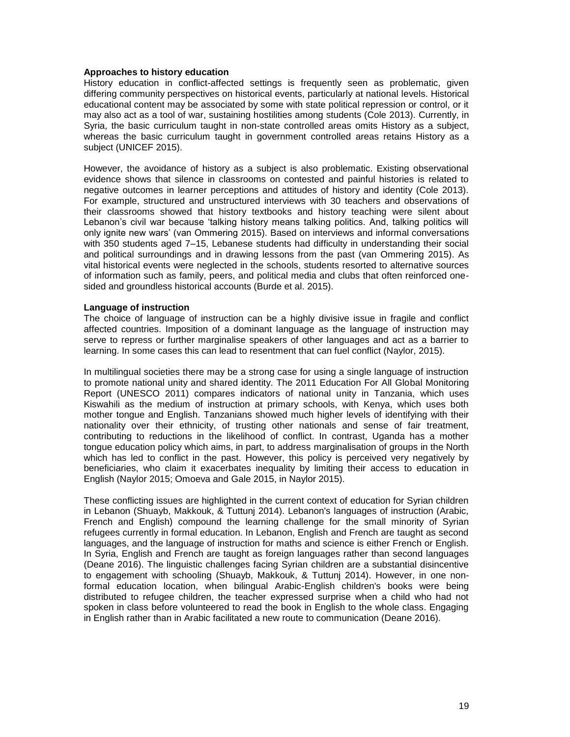## **Approaches to history education**

History education in conflict-affected settings is frequently seen as problematic, given differing community perspectives on historical events, particularly at national levels. Historical educational content may be associated by some with state political repression or control, or it may also act as a tool of war, sustaining hostilities among students (Cole 2013). Currently, in Syria, the basic curriculum taught in non-state controlled areas omits History as a subject, whereas the basic curriculum taught in government controlled areas retains History as a subject (UNICEF 2015).

However, the avoidance of history as a subject is also problematic. Existing observational evidence shows that silence in classrooms on contested and painful histories is related to negative outcomes in learner perceptions and attitudes of history and identity (Cole 2013). For example, structured and unstructured interviews with 30 teachers and observations of their classrooms showed that history textbooks and history teaching were silent about Lebanon's civil war because 'talking history means talking politics. And, talking politics will only ignite new wars' (van Ommering 2015). Based on interviews and informal conversations with 350 students aged 7–15, Lebanese students had difficulty in understanding their social and political surroundings and in drawing lessons from the past (van Ommering 2015). As vital historical events were neglected in the schools, students resorted to alternative sources of information such as family, peers, and political media and clubs that often reinforced onesided and groundless historical accounts (Burde et al. 2015).

#### **Language of instruction**

The choice of language of instruction can be a highly divisive issue in fragile and conflict affected countries. Imposition of a dominant language as the language of instruction may serve to repress or further marginalise speakers of other languages and act as a barrier to learning. In some cases this can lead to resentment that can fuel conflict (Naylor, 2015).

In multilingual societies there may be a strong case for using a single language of instruction to promote national unity and shared identity. The 2011 Education For All Global Monitoring Report (UNESCO 2011) compares indicators of national unity in Tanzania, which uses Kiswahili as the medium of instruction at primary schools, with Kenya, which uses both mother tongue and English. Tanzanians showed much higher levels of identifying with their nationality over their ethnicity, of trusting other nationals and sense of fair treatment, contributing to reductions in the likelihood of conflict. In contrast, Uganda has a mother tongue education policy which aims, in part, to address marginalisation of groups in the North which has led to conflict in the past. However, this policy is perceived very negatively by beneficiaries, who claim it exacerbates inequality by limiting their access to education in English (Naylor 2015; Omoeva and Gale 2015, in Naylor 2015).

These conflicting issues are highlighted in the current context of education for Syrian children in Lebanon (Shuayb, Makkouk, & Tuttunj 2014). Lebanon's languages of instruction (Arabic, French and English) compound the learning challenge for the small minority of Syrian refugees currently in formal education. In Lebanon, English and French are taught as second languages, and the language of instruction for maths and science is either French or English. In Syria, English and French are taught as foreign languages rather than second languages (Deane 2016). The linguistic challenges facing Syrian children are a substantial disincentive to engagement with schooling (Shuayb, Makkouk, & Tuttunj 2014). However, in one nonformal education location, when bilingual Arabic-English children's books were being distributed to refugee children, the teacher expressed surprise when a child who had not spoken in class before volunteered to read the book in English to the whole class. Engaging in English rather than in Arabic facilitated a new route to communication (Deane 2016).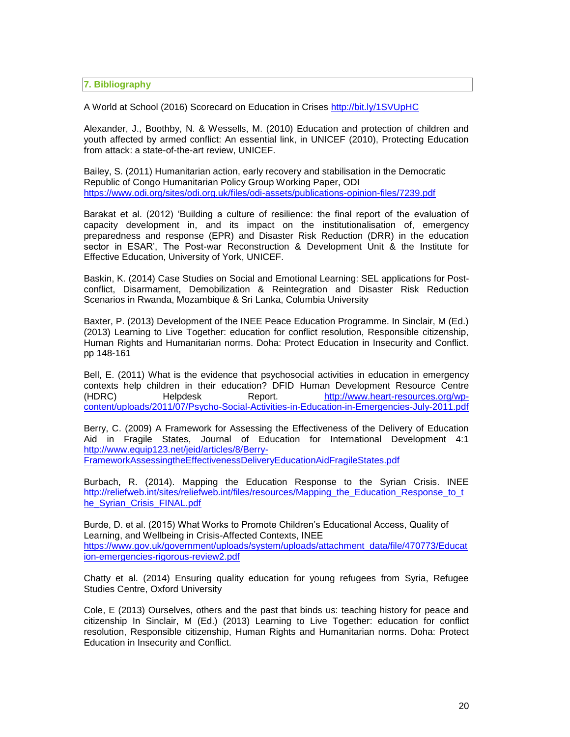**7. Bibliography**

A World at School (2016) Scorecard on Education in Crises<http://bit.ly/1SVUpHC>

Alexander, J., Boothby, N. & Wessells, M. (2010) Education and protection of children and youth affected by armed conflict: An essential link, in UNICEF (2010), Protecting Education from attack: a state-of-the-art review, UNICEF.

Bailey, S. (2011) Humanitarian action, early recovery and stabilisation in the Democratic Republic of Congo Humanitarian Policy Group Working Paper, ODI <https://www.odi.org/sites/odi.org.uk/files/odi-assets/publications-opinion-files/7239.pdf>

Barakat et al. (2012) 'Building a culture of resilience: the final report of the evaluation of capacity development in, and its impact on the institutionalisation of, emergency preparedness and response (EPR) and Disaster Risk Reduction (DRR) in the education sector in ESAR', The Post-war Reconstruction & Development Unit & the Institute for Effective Education, University of York, UNICEF.

Baskin, K. (2014) Case Studies on Social and Emotional Learning: SEL applications for Postconflict, Disarmament, Demobilization & Reintegration and Disaster Risk Reduction Scenarios in Rwanda, Mozambique & Sri Lanka, Columbia University

Baxter, P. (2013) Development of the INEE Peace Education Programme. In Sinclair, M (Ed.) (2013) Learning to Live Together: education for conflict resolution, Responsible citizenship, Human Rights and Humanitarian norms. Doha: Protect Education in Insecurity and Conflict. pp 148-161

Bell, E. (2011) What is the evidence that psychosocial activities in education in emergency contexts help children in their education? DFID Human Development Resource Centre (HDRC) Helpdesk Report. [http://www.heart-resources.org/wp](http://www.heart-resources.org/wp-content/uploads/2011/07/Psycho-Social-Activities-in-Education-in-Emergencies-July-2011.pdf)[content/uploads/2011/07/Psycho-Social-Activities-in-Education-in-Emergencies-July-2011.pdf](http://www.heart-resources.org/wp-content/uploads/2011/07/Psycho-Social-Activities-in-Education-in-Emergencies-July-2011.pdf)

Berry, C. (2009) A Framework for Assessing the Effectiveness of the Delivery of Education Aid in Fragile States, Journal of Education for International Development 4:1 [http://www.equip123.net/jeid/articles/8/Berry-](http://www.equip123.net/jeid/articles/8/Berry-FrameworkAssessingtheEffectivenessDeliveryEducationAidFragileStates.pdf)[FrameworkAssessingtheEffectivenessDeliveryEducationAidFragileStates.pdf](http://www.equip123.net/jeid/articles/8/Berry-FrameworkAssessingtheEffectivenessDeliveryEducationAidFragileStates.pdf)

Burbach, R. (2014). Mapping the Education Response to the Syrian Crisis. INEE [http://reliefweb.int/sites/reliefweb.int/files/resources/Mapping\\_the\\_Education\\_Response\\_to\\_t](http://reliefweb.int/sites/reliefweb.int/files/resources/Mapping_the_Education_Response_to_the_Syrian_Crisis_FINAL.pdf)\_ [he\\_Syrian\\_Crisis\\_FINAL.pdf](http://reliefweb.int/sites/reliefweb.int/files/resources/Mapping_the_Education_Response_to_the_Syrian_Crisis_FINAL.pdf)

Burde, D. et al. (2015) What Works to Promote Children's Educational Access, Quality of Learning, and Wellbeing in Crisis-Affected Contexts, INEE [https://www.gov.uk/government/uploads/system/uploads/attachment\\_data/file/470773/Educat](https://www.gov.uk/government/uploads/system/uploads/attachment_data/file/470773/Education-emergencies-rigorous-review2.pdf) [ion-emergencies-rigorous-review2.pdf](https://www.gov.uk/government/uploads/system/uploads/attachment_data/file/470773/Education-emergencies-rigorous-review2.pdf)

Chatty et al. (2014) Ensuring quality education for young refugees from Syria, Refugee Studies Centre, Oxford University

Cole, E (2013) Ourselves, others and the past that binds us: teaching history for peace and citizenship In Sinclair, M (Ed.) (2013) Learning to Live Together: education for conflict resolution, Responsible citizenship, Human Rights and Humanitarian norms. Doha: Protect Education in Insecurity and Conflict.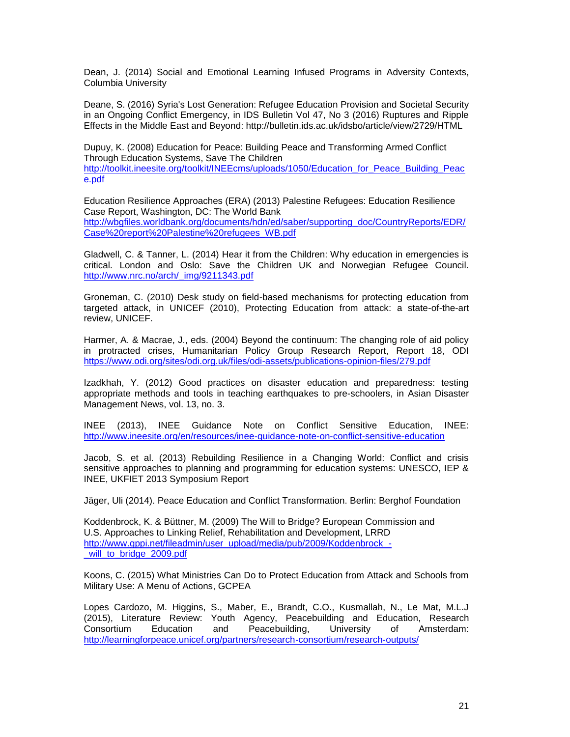Dean, J. (2014) Social and Emotional Learning Infused Programs in Adversity Contexts, Columbia University

Deane, S. (2016) Syria's Lost Generation: Refugee Education Provision and Societal Security in an Ongoing Conflict Emergency, in IDS Bulletin Vol 47, No 3 (2016) Ruptures and Ripple Effects in the Middle East and Beyond: http://bulletin.ids.ac.uk/idsbo/article/view/2729/HTML

Dupuy, K. (2008) Education for Peace: Building Peace and Transforming Armed Conflict Through Education Systems, Save The Children [http://toolkit.ineesite.org/toolkit/INEEcms/uploads/1050/Education\\_for\\_Peace\\_Building\\_Peac](http://toolkit.ineesite.org/toolkit/INEEcms/uploads/1050/Education_for_Peace_Building_Peace.pdf) [e.pdf](http://toolkit.ineesite.org/toolkit/INEEcms/uploads/1050/Education_for_Peace_Building_Peace.pdf)

Education Resilience Approaches (ERA) (2013) Palestine Refugees: Education Resilience Case Report, Washington, DC: The World Bank [http://wbgfiles.worldbank.org/documents/hdn/ed/saber/supporting\\_doc/CountryReports/EDR/](http://wbgfiles.worldbank.org/documents/hdn/ed/saber/supporting_doc/CountryReports/EDR/Case%20report%20Palestine%20refugees_WB.pdf) [Case%20report%20Palestine%20refugees\\_WB.pdf](http://wbgfiles.worldbank.org/documents/hdn/ed/saber/supporting_doc/CountryReports/EDR/Case%20report%20Palestine%20refugees_WB.pdf)

Gladwell, C. & Tanner, L. (2014) Hear it from the Children: Why education in emergencies is critical. London and Oslo: Save the Children UK and Norwegian Refugee Council. [http://www.nrc.no/arch/\\_img/9211343.pdf](http://www.nrc.no/arch/_img/9211343.pdf)

Groneman, C. (2010) Desk study on field-based mechanisms for protecting education from targeted attack, in UNICEF (2010), Protecting Education from attack: a state-of-the-art review, UNICEF.

Harmer, A. & Macrae, J., eds. (2004) Beyond the continuum: The changing role of aid policy in protracted crises, Humanitarian Policy Group Research Report, Report 18, ODI <https://www.odi.org/sites/odi.org.uk/files/odi-assets/publications-opinion-files/279.pdf>

Izadkhah, Y. (2012) Good practices on disaster education and preparedness: testing appropriate methods and tools in teaching earthquakes to pre-schoolers, in Asian Disaster Management News, vol. 13, no. 3.

INEE (2013), INEE Guidance Note on Conflict Sensitive Education, INEE: <http://www.ineesite.org/en/resources/inee-guidance-note-on-conflict-sensitive-education>

Jacob, S. et al. (2013) Rebuilding Resilience in a Changing World: Conflict and crisis sensitive approaches to planning and programming for education systems: UNESCO, IEP & INEE, UKFIET 2013 Symposium Report

Jäger, Uli (2014). Peace Education and Conflict Transformation. Berlin: Berghof Foundation

Koddenbrock, K. & Büttner, M. (2009) The Will to Bridge? European Commission and U.S. Approaches to Linking Relief, Rehabilitation and Development, LRRD http://www.gppi.net/fileadmin/user\_upload/media/pub/2009/Koddenbrock will to bridge 2009.pdf

Koons, C. (2015) What Ministries Can Do to Protect Education from Attack and Schools from Military Use: A Menu of Actions, GCPEA

Lopes Cardozo, M. Higgins, S., Maber, E., Brandt, C.O., Kusmallah, N., Le Mat, M.L.J (2015), Literature Review: Youth Agency, Peacebuilding and Education, Research Consortium Education and Peacebuilding, University of Amsterdam: [http://learningforpeace.unicef.org/partners/research](http://learningforpeace.unicef.org/partners/research‐consortium/research‐outputs/)-consortium/research-outputs/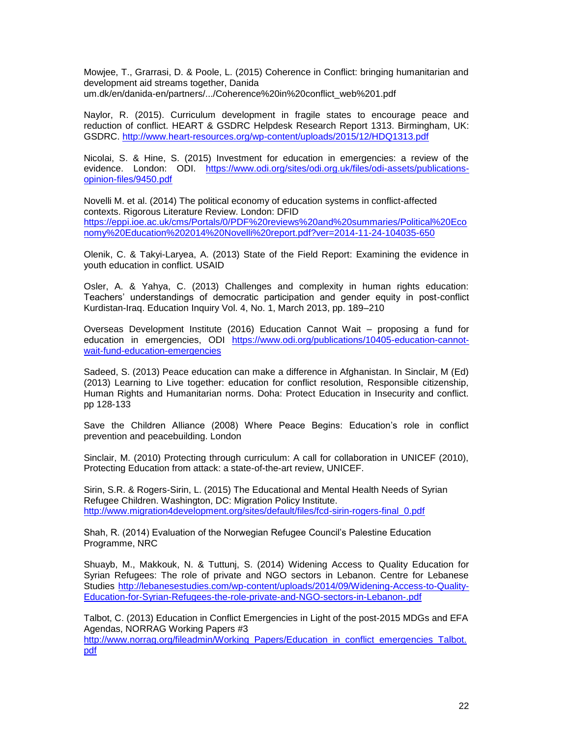Mowjee, T., Grarrasi, D. & Poole, L. (2015) Coherence in Conflict: bringing humanitarian and development aid streams together, Danida um.dk/en/danida-en/partners/.../Coherence%20in%20conflict\_web%201.pdf

Naylor, R. (2015). Curriculum development in fragile states to encourage peace and reduction of conflict. HEART & GSDRC Helpdesk Research Report 1313. Birmingham, UK: GSDRC. <http://www.heart-resources.org/wp-content/uploads/2015/12/HDQ1313.pdf>

Nicolai, S. & Hine, S. (2015) Investment for education in emergencies: a review of the evidence. London: ODI. [https://www.odi.org/sites/odi.org.uk/files/odi-assets/publications](https://www.odi.org/sites/odi.org.uk/files/odi-assets/publications-opinion-files/9450.pdf)[opinion-files/9450.pdf](https://www.odi.org/sites/odi.org.uk/files/odi-assets/publications-opinion-files/9450.pdf)

Novelli M. et al. (2014) The political economy of education systems in conflict-affected contexts. Rigorous Literature Review. London: DFID [https://eppi.ioe.ac.uk/cms/Portals/0/PDF%20reviews%20and%20summaries/Political%20Eco](https://eppi.ioe.ac.uk/cms/Portals/0/PDF%20reviews%20and%20summaries/Political%20Economy%20Education%202014%20Novelli%20report.pdf?ver=2014-11-24-104035-650) [nomy%20Education%202014%20Novelli%20report.pdf?ver=2014-11-24-104035-650](https://eppi.ioe.ac.uk/cms/Portals/0/PDF%20reviews%20and%20summaries/Political%20Economy%20Education%202014%20Novelli%20report.pdf?ver=2014-11-24-104035-650)

Olenik, C. & Takyi-Laryea, A. (2013) State of the Field Report: Examining the evidence in youth education in conflict. USAID

Osler, A. & Yahya, C. (2013) Challenges and complexity in human rights education: Teachers' understandings of democratic participation and gender equity in post-conflict Kurdistan-Iraq. Education Inquiry Vol. 4, No. 1, March 2013, pp. 189–210

Overseas Development Institute (2016) Education Cannot Wait – proposing a fund for education in emergencies, ODI [https://www.odi.org/publications/10405-education-cannot](https://www.odi.org/publications/10405-education-cannot-wait-fund-education-emergencies)[wait-fund-education-emergencies](https://www.odi.org/publications/10405-education-cannot-wait-fund-education-emergencies)

Sadeed, S. (2013) Peace education can make a difference in Afghanistan. In Sinclair, M (Ed) (2013) Learning to Live together: education for conflict resolution, Responsible citizenship, Human Rights and Humanitarian norms. Doha: Protect Education in Insecurity and conflict. pp 128-133

Save the Children Alliance (2008) Where Peace Begins: Education's role in conflict prevention and peacebuilding. London

Sinclair, M. (2010) Protecting through curriculum: A call for collaboration in UNICEF (2010), Protecting Education from attack: a state-of-the-art review, UNICEF.

Sirin, S.R. & Rogers-Sirin, L. (2015) The Educational and Mental Health Needs of Syrian Refugee Children. Washington, DC: Migration Policy Institute. [http://www.migration4development.org/sites/default/files/fcd-sirin-rogers-final\\_0.pdf](http://www.migration4development.org/sites/default/files/fcd-sirin-rogers-final_0.pdf)

Shah, R. (2014) Evaluation of the Norwegian Refugee Council's Palestine Education Programme, NRC

Shuayb, M., Makkouk, N. & Tuttunj, S. (2014) Widening Access to Quality Education for Syrian Refugees: The role of private and NGO sectors in Lebanon. Centre for Lebanese Studies [http://lebanesestudies.com/wp-content/uploads/2014/09/Widening-Access-to-Quality-](http://lebanesestudies.com/wp-content/uploads/2014/09/Widening-Access-to-Quality-Education-for-Syrian-Refugees-the-role-private-and-NGO-sectors-in-Lebanon-.pdf)[Education-for-Syrian-Refugees-the-role-private-and-NGO-sectors-in-Lebanon-.pdf](http://lebanesestudies.com/wp-content/uploads/2014/09/Widening-Access-to-Quality-Education-for-Syrian-Refugees-the-role-private-and-NGO-sectors-in-Lebanon-.pdf)

Talbot, C. (2013) Education in Conflict Emergencies in Light of the post-2015 MDGs and EFA Agendas, NORRAG Working Papers #3

[http://www.norrag.org/fileadmin/Working\\_Papers/Education\\_in\\_conflict\\_emergencies\\_Talbot.](http://www.norrag.org/fileadmin/Working_Papers/Education_in_conflict_emergencies_Talbot.pdf) [pdf](http://www.norrag.org/fileadmin/Working_Papers/Education_in_conflict_emergencies_Talbot.pdf)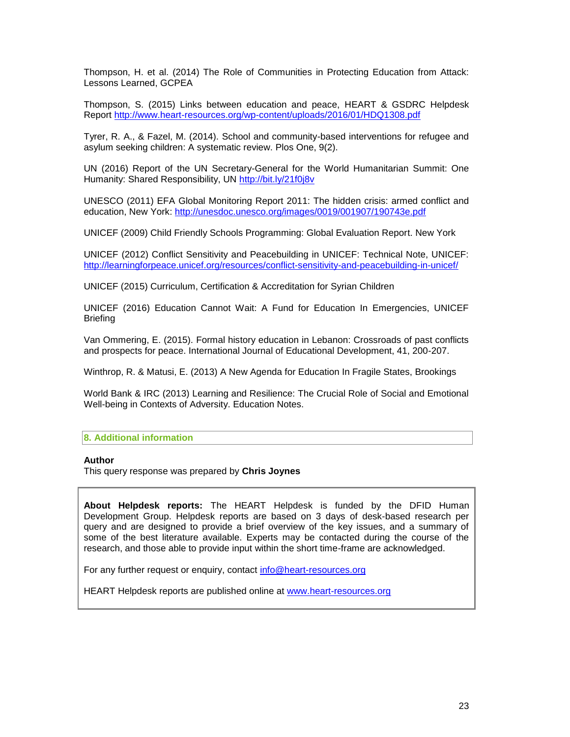Thompson, H. et al. (2014) The Role of Communities in Protecting Education from Attack: Lessons Learned, GCPEA

Thompson, S. (2015) Links between education and peace, HEART & GSDRC Helpdesk Report <http://www.heart-resources.org/wp-content/uploads/2016/01/HDQ1308.pdf>

Tyrer, R. A., & Fazel, M. (2014). School and community-based interventions for refugee and asylum seeking children: A systematic review. Plos One, 9(2).

UN (2016) Report of the UN Secretary-General for the World Humanitarian Summit: One Humanity: Shared Responsibility, UN<http://bit.ly/21f0j8v>

UNESCO (2011) EFA Global Monitoring Report 2011: The hidden crisis: armed conflict and education, New York:<http://unesdoc.unesco.org/images/0019/001907/190743e.pdf>

UNICEF (2009) Child Friendly Schools Programming: Global Evaluation Report. New York

UNICEF (2012) Conflict Sensitivity and Peacebuilding in UNICEF: Technical Note, UNICEF: <http://learningforpeace.unicef.org/resources/conflict-sensitivity-and-peacebuilding-in-unicef/>

UNICEF (2015) Curriculum, Certification & Accreditation for Syrian Children

UNICEF (2016) Education Cannot Wait: A Fund for Education In Emergencies, UNICEF **Briefing** 

Van Ommering, E. (2015). Formal history education in Lebanon: Crossroads of past conflicts and prospects for peace. International Journal of Educational Development, 41, 200-207.

Winthrop, R. & Matusi, E. (2013) A New Agenda for Education In Fragile States, Brookings

World Bank & IRC (2013) Learning and Resilience: The Crucial Role of Social and Emotional Well-being in Contexts of Adversity. Education Notes.

#### **8. Additional information**

## **Author**

This query response was prepared by **Chris Joynes**

**About Helpdesk reports:** The HEART Helpdesk is funded by the DFID Human Development Group. Helpdesk reports are based on 3 days of desk-based research per query and are designed to provide a brief overview of the key issues, and a summary of some of the best literature available. Experts may be contacted during the course of the research, and those able to provide input within the short time-frame are acknowledged.

For any further request or enquiry, contact [info@heart-resources.org](mailto:info@heart-resources.org)

HEART Helpdesk reports are published online at [www.heart-resources.org](http://www.heart-resources.org/)